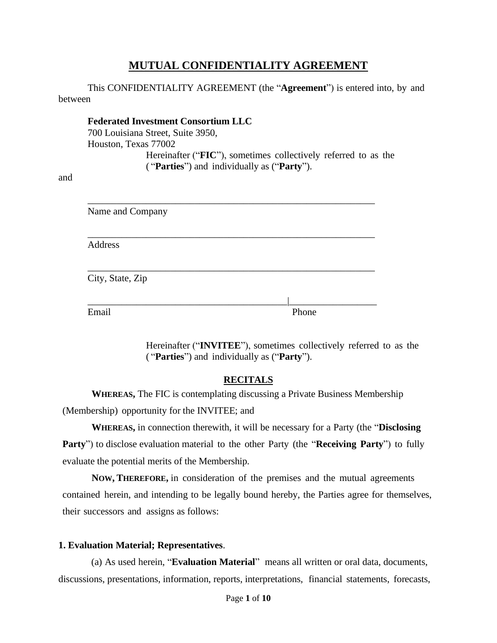# **MUTUAL CONFIDENTIALITY AGREEMENT**

This CONFIDENTIALITY AGREEMENT (the "**Agreement**") is entered into, by and between

**Federated Investment Consortium LLC** 700 Louisiana Street, Suite 3950, Houston, Texas 77002 Hereinafter ("**FIC**"), sometimes collectively referred to as the ( "**Parties**") and individually as ("**Party**").

and

| Name and Company |       |
|------------------|-------|
| Address          |       |
| City, State, Zip |       |
| Email            | Phone |

Hereinafter ("**INVITEE**"), sometimes collectively referred to as the ( "**Parties**") and individually as ("**Party**").

### **RECITALS**

**WHEREAS,** The FIC is contemplating discussing a Private Business Membership (Membership) opportunity for the INVITEE; and

**WHEREAS,** in connection therewith, it will be necessary for a Party (the "**Disclosing Party**") to disclose evaluation material to the other Party (the "**Receiving Party**") to fully evaluate the potential merits of the Membership.

**NOW, THEREFORE,** in consideration of the premises and the mutual agreements contained herein, and intending to be legally bound hereby, the Parties agree for themselves, their successors and assigns as follows:

### **1. Evaluation Material; Representatives**.

(a) As used herein, "**Evaluation Material**" means all written or oral data, documents, discussions, presentations, information, reports, interpretations, financial statements, forecasts,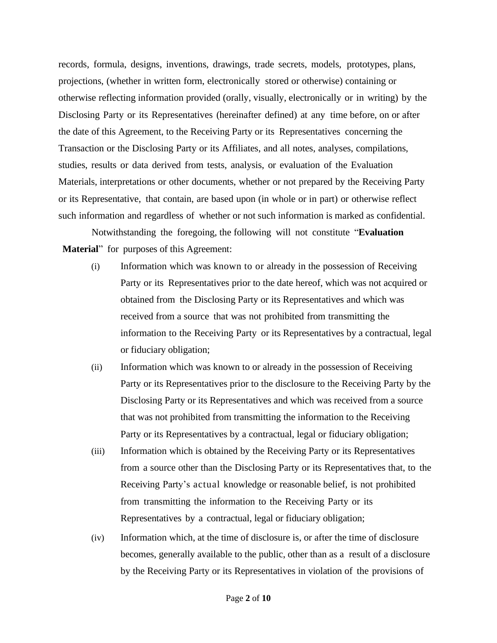records, formula, designs, inventions, drawings, trade secrets, models, prototypes, plans, projections, (whether in written form, electronically stored or otherwise) containing or otherwise reflecting information provided (orally, visually, electronically or in writing) by the Disclosing Party or its Representatives (hereinafter defined) at any time before, on or after the date of this Agreement, to the Receiving Party or its Representatives concerning the Transaction or the Disclosing Party or its Affiliates, and all notes, analyses, compilations, studies, results or data derived from tests, analysis, or evaluation of the Evaluation Materials, interpretations or other documents, whether or not prepared by the Receiving Party or its Representative, that contain, are based upon (in whole or in part) or otherwise reflect such information and regardless of whether or not such information is marked as confidential.

Notwithstanding the foregoing, the following will not constitute "**Evaluation Material**" for purposes of this Agreement:

- (i) Information which was known to or already in the possession of Receiving Party or its Representatives prior to the date hereof, which was not acquired or obtained from the Disclosing Party or its Representatives and which was received from a source that was not prohibited from transmitting the information to the Receiving Party or its Representatives by a contractual, legal or fiduciary obligation;
- (ii) Information which was known to or already in the possession of Receiving Party or its Representatives prior to the disclosure to the Receiving Party by the Disclosing Party or its Representatives and which was received from a source that was not prohibited from transmitting the information to the Receiving Party or its Representatives by a contractual, legal or fiduciary obligation;
- (iii) Information which is obtained by the Receiving Party or its Representatives from a source other than the Disclosing Party or its Representatives that, to the Receiving Party's actual knowledge or reasonable belief, is not prohibited from transmitting the information to the Receiving Party or its Representatives by a contractual, legal or fiduciary obligation;
- (iv) Information which, at the time of disclosure is, or after the time of disclosure becomes, generally available to the public, other than as a result of a disclosure by the Receiving Party or its Representatives in violation of the provisions of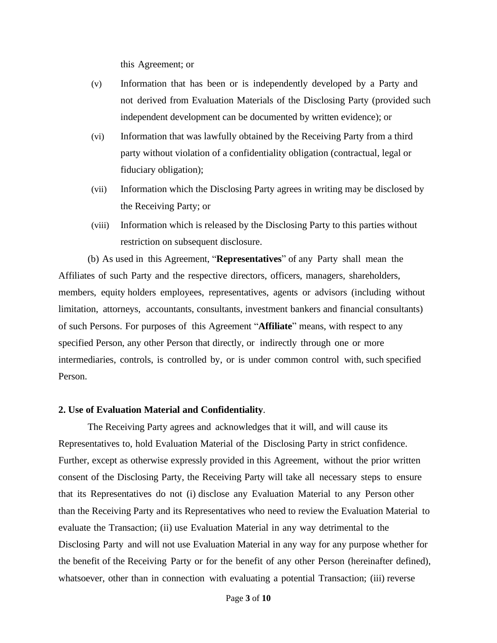this Agreement; or

- (v) Information that has been or is independently developed by a Party and not derived from Evaluation Materials of the Disclosing Party (provided such independent development can be documented by written evidence); or
- (vi) Information that was lawfully obtained by the Receiving Party from a third party without violation of a confidentiality obligation (contractual, legal or fiduciary obligation);
- (vii) Information which the Disclosing Party agrees in writing may be disclosed by the Receiving Party; or
- (viii) Information which is released by the Disclosing Party to this parties without restriction on subsequent disclosure.

(b) As used in this Agreement, "**Representatives**" of any Party shall mean the Affiliates of such Party and the respective directors, officers, managers, shareholders, members, equity holders employees, representatives, agents or advisors (including without limitation, attorneys, accountants, consultants, investment bankers and financial consultants) of such Persons. For purposes of this Agreement "**Affiliate**" means, with respect to any specified Person, any other Person that directly, or indirectly through one or more intermediaries, controls, is controlled by, or is under common control with, such specified Person.

#### **2. Use of Evaluation Material and Confidentiality**.

The Receiving Party agrees and acknowledges that it will, and will cause its Representatives to, hold Evaluation Material of the Disclosing Party in strict confidence. Further, except as otherwise expressly provided in this Agreement, without the prior written consent of the Disclosing Party, the Receiving Party will take all necessary steps to ensure that its Representatives do not (i) disclose any Evaluation Material to any Person other than the Receiving Party and its Representatives who need to review the Evaluation Material to evaluate the Transaction; (ii) use Evaluation Material in any way detrimental to the Disclosing Party and will not use Evaluation Material in any way for any purpose whether for the benefit of the Receiving Party or for the benefit of any other Person (hereinafter defined), whatsoever, other than in connection with evaluating a potential Transaction; (iii) reverse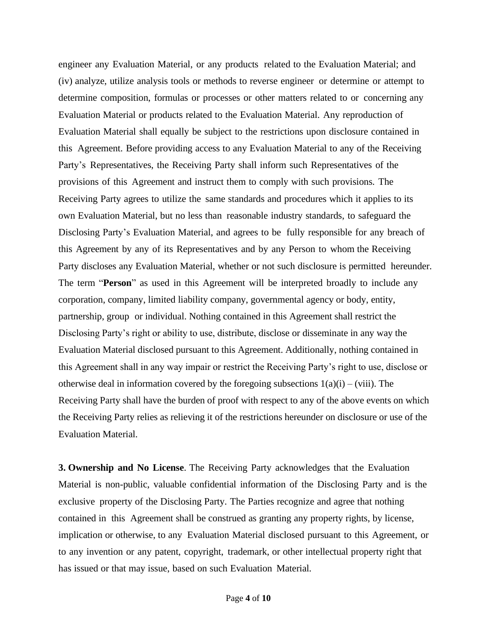engineer any Evaluation Material, or any products related to the Evaluation Material; and (iv) analyze, utilize analysis tools or methods to reverse engineer or determine or attempt to determine composition, formulas or processes or other matters related to or concerning any Evaluation Material or products related to the Evaluation Material. Any reproduction of Evaluation Material shall equally be subject to the restrictions upon disclosure contained in this Agreement. Before providing access to any Evaluation Material to any of the Receiving Party's Representatives, the Receiving Party shall inform such Representatives of the provisions of this Agreement and instruct them to comply with such provisions. The Receiving Party agrees to utilize the same standards and procedures which it applies to its own Evaluation Material, but no less than reasonable industry standards, to safeguard the Disclosing Party's Evaluation Material, and agrees to be fully responsible for any breach of this Agreement by any of its Representatives and by any Person to whom the Receiving Party discloses any Evaluation Material, whether or not such disclosure is permitted hereunder. The term "**Person**" as used in this Agreement will be interpreted broadly to include any corporation, company, limited liability company, governmental agency or body, entity, partnership, group or individual. Nothing contained in this Agreement shall restrict the Disclosing Party's right or ability to use, distribute, disclose or disseminate in any way the Evaluation Material disclosed pursuant to this Agreement. Additionally, nothing contained in this Agreement shall in any way impair or restrict the Receiving Party's right to use, disclose or otherwise deal in information covered by the foregoing subsections  $1(a)(i) - (viii)$ . The Receiving Party shall have the burden of proof with respect to any of the above events on which the Receiving Party relies as relieving it of the restrictions hereunder on disclosure or use of the Evaluation Material.

**3. Ownership and No License**. The Receiving Party acknowledges that the Evaluation Material is non-public, valuable confidential information of the Disclosing Party and is the exclusive property of the Disclosing Party. The Parties recognize and agree that nothing contained in this Agreement shall be construed as granting any property rights, by license, implication or otherwise, to any Evaluation Material disclosed pursuant to this Agreement, or to any invention or any patent, copyright, trademark, or other intellectual property right that has issued or that may issue, based on such Evaluation Material.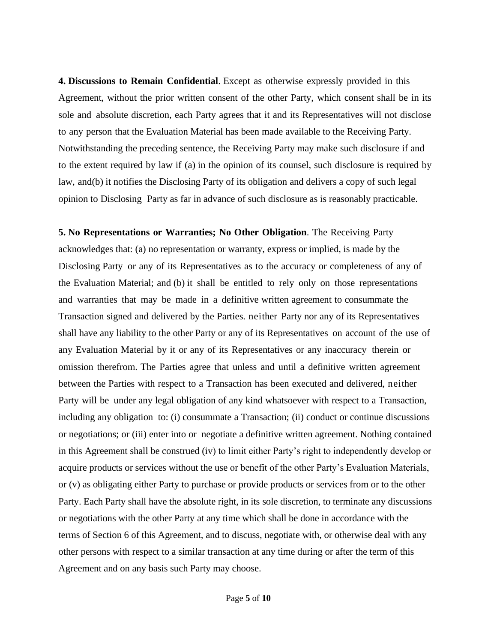**4. Discussions to Remain Confidential**. Except as otherwise expressly provided in this Agreement, without the prior written consent of the other Party, which consent shall be in its sole and absolute discretion, each Party agrees that it and its Representatives will not disclose to any person that the Evaluation Material has been made available to the Receiving Party. Notwithstanding the preceding sentence, the Receiving Party may make such disclosure if and to the extent required by law if (a) in the opinion of its counsel, such disclosure is required by law, and(b) it notifies the Disclosing Party of its obligation and delivers a copy of such legal opinion to Disclosing Party as far in advance of such disclosure as is reasonably practicable.

**5. No Representations or Warranties; No Other Obligation**. The Receiving Party acknowledges that: (a) no representation or warranty, express or implied, is made by the Disclosing Party or any of its Representatives as to the accuracy or completeness of any of the Evaluation Material; and (b) it shall be entitled to rely only on those representations and warranties that may be made in a definitive written agreement to consummate the Transaction signed and delivered by the Parties. neither Party nor any of its Representatives shall have any liability to the other Party or any of its Representatives on account of the use of any Evaluation Material by it or any of its Representatives or any inaccuracy therein or omission therefrom. The Parties agree that unless and until a definitive written agreement between the Parties with respect to a Transaction has been executed and delivered, neither Party will be under any legal obligation of any kind whatsoever with respect to a Transaction, including any obligation to: (i) consummate a Transaction; (ii) conduct or continue discussions or negotiations; or (iii) enter into or negotiate a definitive written agreement. Nothing contained in this Agreement shall be construed (iv) to limit either Party's right to independently develop or acquire products or services without the use or benefit of the other Party's Evaluation Materials, or (v) as obligating either Party to purchase or provide products or services from or to the other Party. Each Party shall have the absolute right, in its sole discretion, to terminate any discussions or negotiations with the other Party at any time which shall be done in accordance with the terms of Section 6 of this Agreement, and to discuss, negotiate with, or otherwise deal with any other persons with respect to a similar transaction at any time during or after the term of this Agreement and on any basis such Party may choose.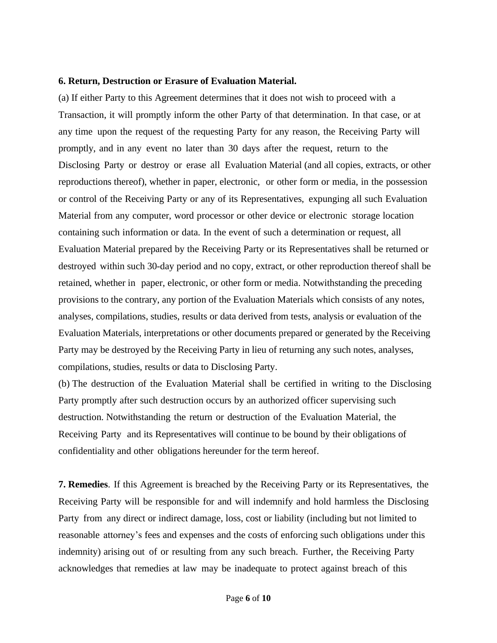#### **6. Return, Destruction or Erasure of Evaluation Material.**

(a) If either Party to this Agreement determines that it does not wish to proceed with a Transaction, it will promptly inform the other Party of that determination. In that case, or at any time upon the request of the requesting Party for any reason, the Receiving Party will promptly, and in any event no later than 30 days after the request, return to the Disclosing Party or destroy or erase all Evaluation Material (and all copies, extracts, or other reproductions thereof), whether in paper, electronic, or other form or media, in the possession or control of the Receiving Party or any of its Representatives, expunging all such Evaluation Material from any computer, word processor or other device or electronic storage location containing such information or data. In the event of such a determination or request, all Evaluation Material prepared by the Receiving Party or its Representatives shall be returned or destroyed within such 30-day period and no copy, extract, or other reproduction thereof shall be retained, whether in paper, electronic, or other form or media. Notwithstanding the preceding provisions to the contrary, any portion of the Evaluation Materials which consists of any notes, analyses, compilations, studies, results or data derived from tests, analysis or evaluation of the Evaluation Materials, interpretations or other documents prepared or generated by the Receiving Party may be destroyed by the Receiving Party in lieu of returning any such notes, analyses, compilations, studies, results or data to Disclosing Party.

(b) The destruction of the Evaluation Material shall be certified in writing to the Disclosing Party promptly after such destruction occurs by an authorized officer supervising such destruction. Notwithstanding the return or destruction of the Evaluation Material, the Receiving Party and its Representatives will continue to be bound by their obligations of confidentiality and other obligations hereunder for the term hereof.

**7. Remedies**. If this Agreement is breached by the Receiving Party or its Representatives, the Receiving Party will be responsible for and will indemnify and hold harmless the Disclosing Party from any direct or indirect damage, loss, cost or liability (including but not limited to reasonable attorney's fees and expenses and the costs of enforcing such obligations under this indemnity) arising out of or resulting from any such breach. Further, the Receiving Party acknowledges that remedies at law may be inadequate to protect against breach of this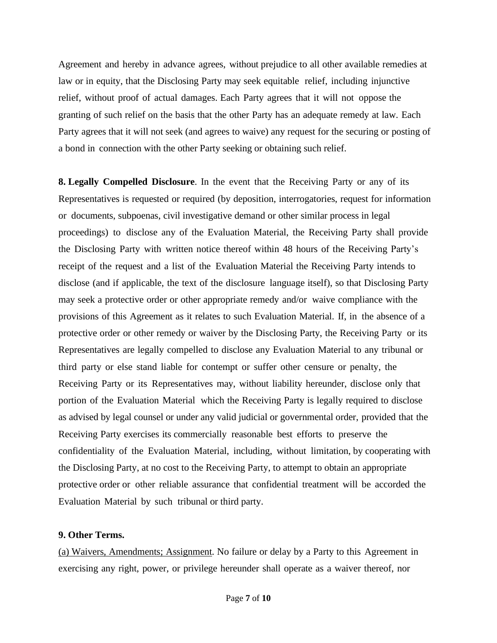Agreement and hereby in advance agrees, without prejudice to all other available remedies at law or in equity, that the Disclosing Party may seek equitable relief, including injunctive relief, without proof of actual damages. Each Party agrees that it will not oppose the granting of such relief on the basis that the other Party has an adequate remedy at law. Each Party agrees that it will not seek (and agrees to waive) any request for the securing or posting of a bond in connection with the other Party seeking or obtaining such relief.

**8. Legally Compelled Disclosure**. In the event that the Receiving Party or any of its Representatives is requested or required (by deposition, interrogatories, request for information or documents, subpoenas, civil investigative demand or other similar process in legal proceedings) to disclose any of the Evaluation Material, the Receiving Party shall provide the Disclosing Party with written notice thereof within 48 hours of the Receiving Party's receipt of the request and a list of the Evaluation Material the Receiving Party intends to disclose (and if applicable, the text of the disclosure language itself), so that Disclosing Party may seek a protective order or other appropriate remedy and/or waive compliance with the provisions of this Agreement as it relates to such Evaluation Material. If, in the absence of a protective order or other remedy or waiver by the Disclosing Party, the Receiving Party or its Representatives are legally compelled to disclose any Evaluation Material to any tribunal or third party or else stand liable for contempt or suffer other censure or penalty, the Receiving Party or its Representatives may, without liability hereunder, disclose only that portion of the Evaluation Material which the Receiving Party is legally required to disclose as advised by legal counsel or under any valid judicial or governmental order, provided that the Receiving Party exercises its commercially reasonable best efforts to preserve the confidentiality of the Evaluation Material, including, without limitation, by cooperating with the Disclosing Party, at no cost to the Receiving Party, to attempt to obtain an appropriate protective order or other reliable assurance that confidential treatment will be accorded the Evaluation Material by such tribunal or third party.

#### **9. Other Terms.**

(a) Waivers, Amendments; Assignment. No failure or delay by a Party to this Agreement in exercising any right, power, or privilege hereunder shall operate as a waiver thereof, nor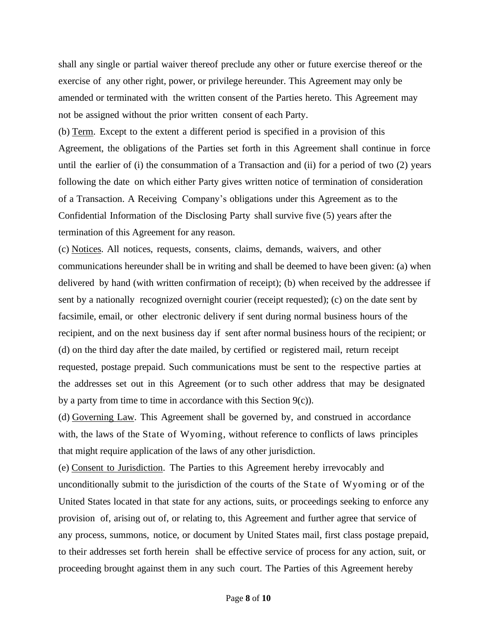shall any single or partial waiver thereof preclude any other or future exercise thereof or the exercise of any other right, power, or privilege hereunder. This Agreement may only be amended or terminated with the written consent of the Parties hereto. This Agreement may not be assigned without the prior written consent of each Party.

(b) Term. Except to the extent a different period is specified in a provision of this Agreement, the obligations of the Parties set forth in this Agreement shall continue in force until the earlier of (i) the consummation of a Transaction and (ii) for a period of two (2) years following the date on which either Party gives written notice of termination of consideration of a Transaction. A Receiving Company's obligations under this Agreement as to the Confidential Information of the Disclosing Party shall survive five (5) years after the termination of this Agreement for any reason.

<span id="page-7-0"></span>(c) Notices. All notices, requests, consents, claims, demands, waivers, and other communications hereunder shall be in writing and shall be deemed to have been given: (a) when delivered by hand (with written confirmation of receipt); (b) when received by the addressee if sent by a nationally recognized overnight courier (receipt requested); (c) on the date sent by facsimile, email, or other electronic delivery if sent during normal business hours of the recipient, and on the next business day if sent after normal business hours of the recipient; or (d) on the third day after the date mailed, by certified or registered mail, return receipt requested, postage prepaid. Such communications must be sent to the respective parties at the addresses set out in this Agreement (or to such other address that may be designated by a party from time to time in accordance with this Section [9\(c\)\)](#page-7-0).

(d) Governing Law. This Agreement shall be governed by, and construed in accordance with, the laws of the State of Wyoming, without reference to conflicts of laws principles that might require application of the laws of any other jurisdiction.

(e) Consent to Jurisdiction. The Parties to this Agreement hereby irrevocably and unconditionally submit to the jurisdiction of the courts of the State of Wyoming or of the United States located in that state for any actions, suits, or proceedings seeking to enforce any provision of, arising out of, or relating to, this Agreement and further agree that service of any process, summons, notice, or document by United States mail, first class postage prepaid, to their addresses set forth herein shall be effective service of process for any action, suit, or proceeding brought against them in any such court. The Parties of this Agreement hereby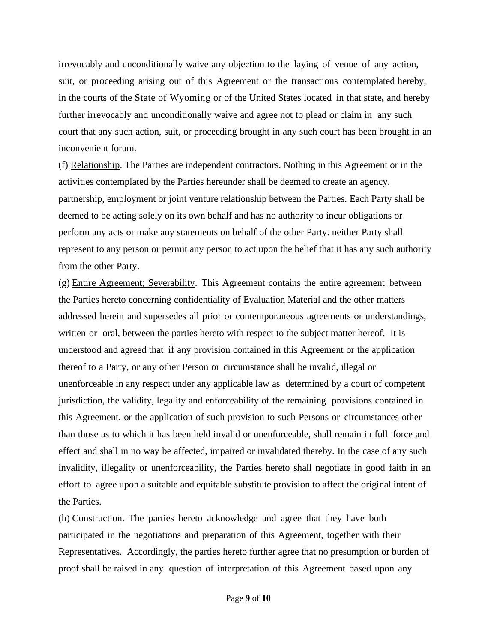irrevocably and unconditionally waive any objection to the laying of venue of any action, suit, or proceeding arising out of this Agreement or the transactions contemplated hereby, in the courts of the State of Wyoming or of the United States located in that state**,** and hereby further irrevocably and unconditionally waive and agree not to plead or claim in any such court that any such action, suit, or proceeding brought in any such court has been brought in an inconvenient forum.

(f) Relationship. The Parties are independent contractors. Nothing in this Agreement or in the activities contemplated by the Parties hereunder shall be deemed to create an agency, partnership, employment or joint venture relationship between the Parties. Each Party shall be deemed to be acting solely on its own behalf and has no authority to incur obligations or perform any acts or make any statements on behalf of the other Party. neither Party shall represent to any person or permit any person to act upon the belief that it has any such authority from the other Party.

(g) Entire Agreement; Severability. This Agreement contains the entire agreement between the Parties hereto concerning confidentiality of Evaluation Material and the other matters addressed herein and supersedes all prior or contemporaneous agreements or understandings, written or oral, between the parties hereto with respect to the subject matter hereof. It is understood and agreed that if any provision contained in this Agreement or the application thereof to a Party, or any other Person or circumstance shall be invalid, illegal or unenforceable in any respect under any applicable law as determined by a court of competent jurisdiction, the validity, legality and enforceability of the remaining provisions contained in this Agreement, or the application of such provision to such Persons or circumstances other than those as to which it has been held invalid or unenforceable, shall remain in full force and effect and shall in no way be affected, impaired or invalidated thereby. In the case of any such invalidity, illegality or unenforceability, the Parties hereto shall negotiate in good faith in an effort to agree upon a suitable and equitable substitute provision to affect the original intent of the Parties.

(h) Construction. The parties hereto acknowledge and agree that they have both participated in the negotiations and preparation of this Agreement, together with their Representatives. Accordingly, the parties hereto further agree that no presumption or burden of proof shall be raised in any question of interpretation of this Agreement based upon any